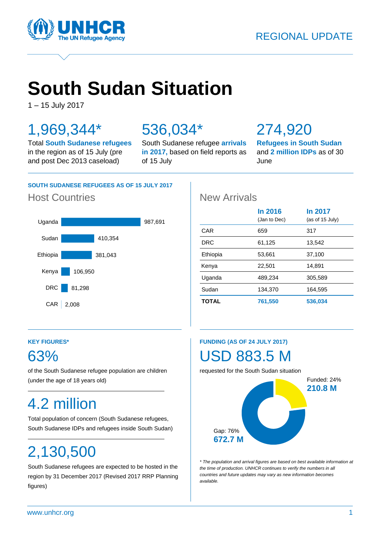



# **South Sudan Situation**

1 – 15 July 2017

### 1,969,344\*

Total **South Sudanese refugees** in the region as of 15 July (pre and post Dec 2013 caseload)

### 536,034\*

South Sudanese refugee **arrivals in 2017,** based on field reports as of 15 July

### 274,920

**Refugees in South Sudan** and **2 million IDPs** as of 30 June

#### **SOUTH SUDANESE REFUGEES AS OF 15 JULY 2017**

#### Host Countries **New Arrivals**



|              | <b>In 2016</b><br>(Jan to Dec) | In 2017<br>(as of 15 July) |
|--------------|--------------------------------|----------------------------|
| CAR          | 659                            | 317                        |
| <b>DRC</b>   | 61,125                         | 13,542                     |
| Ethiopia     | 53,661                         | 37,100                     |
| Kenya        | 22,501                         | 14,891                     |
| Uganda       | 489.234                        | 305.589                    |
| Sudan        | 134,370                        | 164,595                    |
| <b>TOTAL</b> | 761,550                        | 536,034                    |

#### **KEY FIGURES\***

### 63%

of the South Sudanese refugee population are children (under the age of 18 years old)

### 4.2 million

Total population of concern (South Sudanese refugees, South Sudanese IDPs and refugees inside South Sudan)

## 2,130,500

South Sudanese refugees are expected to be hosted in the region by 31 December 2017 (Revised 2017 RRP Planning figures)

#### **FUNDING (AS OF 24 JULY 2017)**

### USD 883.5 M

requested for the South Sudan situation



*\* The population and arrival figures are based on best available information at the time of production. UNHCR continues to verify the numbers in all countries and future updates may vary as new information becomes available.*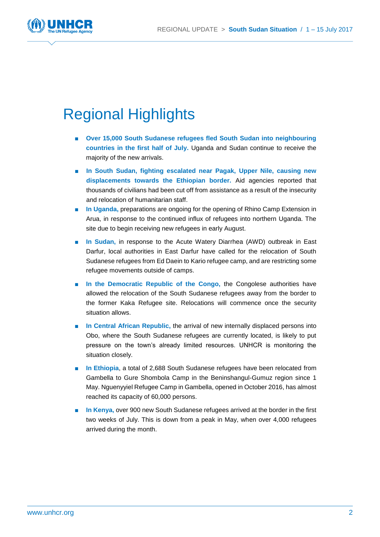

### Regional Highlights

- **Over 15,000 South Sudanese refugees fled South Sudan into neighbouring countries in the first half of July.** Uganda and Sudan continue to receive the majority of the new arrivals.
- In South Sudan, fighting escalated near Pagak, Upper Nile, causing new **displacements towards the Ethiopian border.** Aid agencies reported that thousands of civilians had been cut off from assistance as a result of the insecurity and relocation of humanitarian staff.
- **In Uganda, preparations are ongoing for the opening of Rhino Camp Extension in** Arua, in response to the continued influx of refugees into northern Uganda. The site due to begin receiving new refugees in early August.
- In Sudan, in response to the Acute Watery Diarrhea (AWD) outbreak in East Darfur, local authorities in East Darfur have called for the relocation of South Sudanese refugees from Ed Daein to Kario refugee camp, and are restricting some refugee movements outside of camps.
- In the Democratic Republic of the Congo, the Congolese authorities have allowed the relocation of the South Sudanese refugees away from the border to the former Kaka Refugee site. Relocations will commence once the security situation allows.
- **In Central African Republic, the arrival of new internally displaced persons into** Obo, where the South Sudanese refugees are currently located, is likely to put pressure on the town's already limited resources. UNHCR is monitoring the situation closely.
- **In Ethiopia**, a total of 2,688 South Sudanese refugees have been relocated from Gambella to Gure Shombola Camp in the Beninshangul-Gumuz region since 1 May. Nguenyyiel Refugee Camp in Gambella, opened in October 2016, has almost reached its capacity of 60,000 persons.
- **In Kenya, over 900 new South Sudanese refugees arrived at the border in the first** two weeks of July. This is down from a peak in May, when over 4,000 refugees arrived during the month.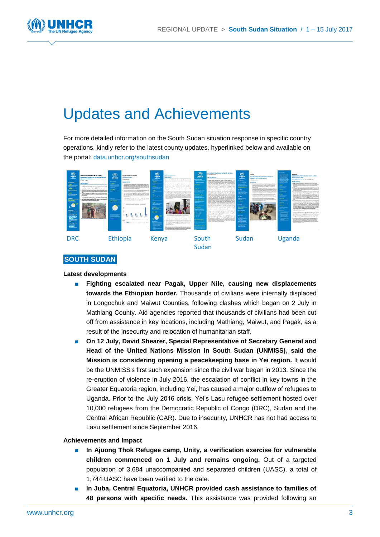

### Updates and Achievements

For more detailed information on the South Sudan situation response in specific country operations, kindly refer to the latest county updates, hyperlinked below and available on the portal: [data.unhcr.org/southsudan](http://data.unhcr.org/southsudan)



#### **SOUTH SUDAN**

#### **Latest developments**

- **Fighting escalated near Pagak, Upper Nile, causing new displacements towards the Ethiopian border.** Thousands of civilians were internally displaced in Longochuk and Maiwut Counties, following clashes which began on 2 July in Mathiang County. Aid agencies reported that thousands of civilians had been cut off from assistance in key locations, including Mathiang, Maiwut, and Pagak, as a result of the insecurity and relocation of humanitarian staff.
- On 12 July, David Shearer, Special Representative of Secretary General and **Head of the United Nations Mission in South Sudan (UNMISS), said the Mission is considering opening a peacekeeping base in Yei region.** It would be the UNMISS's first such expansion since the civil war began in 2013. Since the re-eruption of violence in July 2016, the escalation of conflict in key towns in the Greater Equatoria region, including Yei, has caused a major outflow of refugees to Uganda. Prior to the July 2016 crisis, Yei's Lasu refugee settlement hosted over 10,000 refugees from the Democratic Republic of Congo (DRC), Sudan and the Central African Republic (CAR). Due to insecurity, UNHCR has not had access to Lasu settlement since September 2016.

- In Ajuong Thok Refugee camp, Unity, a verification exercise for vulnerable **children commenced on 1 July and remains ongoing.** Out of a targeted population of 3,684 unaccompanied and separated children (UASC), a total of 1,744 UASC have been verified to the date.
- In Juba, Central Equatoria, UNHCR provided cash assistance to families of **48 persons with specific needs.** This assistance was provided following an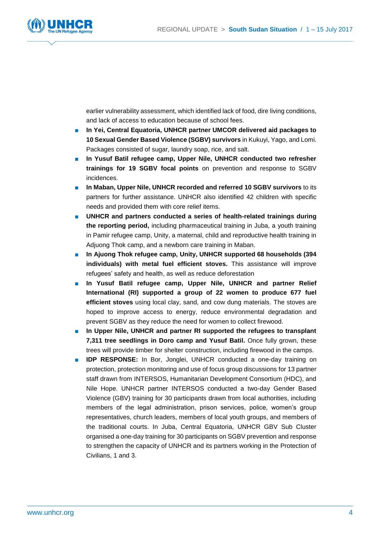

earlier vulnerability assessment, which identified lack of food, dire living conditions, and lack of access to education because of school fees.

- In Yei, Central Equatoria, UNHCR partner UMCOR delivered aid packages to **10 Sexual Gender Based Violence (SGBV) survivors** in Kukuyi, Yago, and Lomi. Packages consisted of sugar, laundry soap, rice, and salt.
- In Yusuf Batil refugee camp, Upper Nile, UNHCR conducted two refresher **trainings for 19 SGBV focal points** on prevention and response to SGBV incidences.
- **In Maban, Upper Nile, UNHCR recorded and referred 10 SGBV survivors to its** partners for further assistance. UNHCR also identified 42 children with specific needs and provided them with core relief items.
- UNHCR and partners conducted a series of health-related trainings during **the reporting period,** including pharmaceutical training in Juba, a youth training in Pamir refugee camp, Unity, a maternal, child and reproductive health training in Adjuong Thok camp, and a newborn care training in Maban.
- **In Ajuong Thok refugee camp, Unity, UNHCR supported 68 households (394 individuals) with metal fuel efficient stoves.** This assistance will improve refugees' safety and health, as well as reduce deforestation
- **In Yusuf Batil refugee camp, Upper Nile, UNHCR and partner Relief International (RI) supported a group of 22 women to produce 677 fuel efficient stoves** using local clay, sand, and cow dung materials. The stoves are hoped to improve access to energy, reduce environmental degradation and prevent SGBV as they reduce the need for women to collect firewood.
- **In Upper Nile, UNHCR and partner RI supported the refugees to transplant 7,311 tree seedlings in Doro camp and Yusuf Batil.** Once fully grown, these trees will provide timber for shelter construction, including firewood in the camps.
- **IDP RESPONSE:** In Bor, Jonglei, UNHCR conducted a one-day training on protection, protection monitoring and use of focus group discussions for 13 partner staff drawn from INTERSOS, Humanitarian Development Consortium (HDC), and Nile Hope. UNHCR partner INTERSOS conducted a two-day Gender Based Violence (GBV) training for 30 participants drawn from local authorities, including members of the legal administration, prison services, police, women's group representatives, church leaders, members of local youth groups, and members of the traditional courts. In Juba, Central Equatoria, UNHCR GBV Sub Cluster organised a one-day training for 30 participants on SGBV prevention and response to strengthen the capacity of UNHCR and its partners working in the Protection of Civilians, 1 and 3.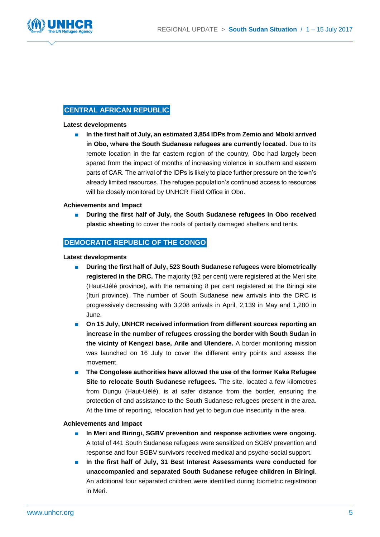

#### **CENTRAL AFRICAN REPUBLIC**

#### **Latest developments**

■ **In the first half of July, an estimated 3,854 IDPs from Zemio and Mboki arrived in Obo, where the South Sudanese refugees are currently located.** Due to its remote location in the far eastern region of the country, Obo had largely been spared from the impact of months of increasing violence in southern and eastern parts of CAR. The arrival of the IDPs is likely to place further pressure on the town's already limited resources. The refugee population's continued access to resources will be closely monitored by UNHCR Field Office in Obo.

#### **Achievements and Impact**

■ During the first half of July, the South Sudanese refugees in Obo received **plastic sheeting** to cover the roofs of partially damaged shelters and tents.

#### **DEMOCRATIC REPUBLIC OF THE CONGO**

**Latest developments**

- **During the first half of July, 523 South Sudanese refugees were biometrically registered in the DRC.** The majority (92 per cent) were registered at the Meri site (Haut-Uélé province), with the remaining 8 per cent registered at the Biringi site (Ituri province). The number of South Sudanese new arrivals into the DRC is progressively decreasing with 3,208 arrivals in April, 2,139 in May and 1,280 in June.
- **On 15 July, UNHCR received information from different sources reporting an increase in the number of refugees crossing the border with South Sudan in the vicinty of Kengezi base, Arile and Ulendere.** A border monitoring mission was launched on 16 July to cover the different entry points and assess the movement.
- The Congolese authorities have allowed the use of the former Kaka Refugee **Site to relocate South Sudanese refugees.** The site, located a few kilometres from Dungu (Haut-Uélé), is at safer distance from the border, ensuring the protection of and assistance to the South Sudanese refugees present in the area. At the time of reporting, relocation had yet to begun due insecurity in the area.

- **In Meri and Biringi, SGBV prevention and response activities were ongoing.** A total of 441 South Sudanese refugees were sensitized on SGBV prevention and response and four SGBV survivors received medical and psycho-social support.
- In the first half of July, 31 Best Interest Assessments were conducted for **unaccompanied and separated South Sudanese refugee children in Biringi**. An additional four separated children were identified during biometric registration in Meri.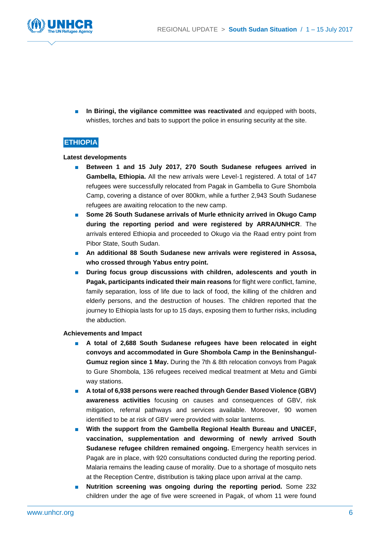

**n** In Biringi, the vigilance committee was reactivated and equipped with boots, whistles, torches and bats to support the police in ensuring security at the site.

#### **ETHIOPIA**

#### **Latest developments**

- Between 1 and 15 July 2017, 270 South Sudanese refugees arrived in **Gambella, Ethiopia.** All the new arrivals were Level-1 registered. A total of 147 refugees were successfully relocated from Pagak in Gambella to Gure Shombola Camp, covering a distance of over 800km, while a further 2,943 South Sudanese refugees are awaiting relocation to the new camp.
- Some 26 South Sudanese arrivals of Murle ethnicity arrived in Okugo Camp **during the reporting period and were registered by ARRA/UNHCR**. The arrivals entered Ethiopia and proceeded to Okugo via the Raad entry point from Pibor State, South Sudan.
- An additional 88 South Sudanese new arrivals were registered in Assosa, **who crossed through Yabus entry point.**
- During focus group discussions with children, adolescents and youth in **Pagak, participants indicated their main reasons** for flight were conflict, famine, family separation, loss of life due to lack of food, the killing of the children and elderly persons, and the destruction of houses. The children reported that the journey to Ethiopia lasts for up to 15 days, exposing them to further risks, including the abduction.

- **A total of 2,688 South Sudanese refugees have been relocated in eight convoys and accommodated in Gure Shombola Camp in the Beninshangul-Gumuz region since 1 May.** During the 7th & 8th relocation convoys from Pagak to Gure Shombola, 136 refugees received medical treatment at Metu and Gimbi way stations.
- A total of 6,938 persons were reached through Gender Based Violence (GBV) **awareness activities** focusing on causes and consequences of GBV, risk mitigation, referral pathways and services available. Moreover, 90 women identified to be at risk of GBV were provided with solar lanterns.
- **With the support from the Gambella Regional Health Bureau and UNICEF, vaccination, supplementation and deworming of newly arrived South Sudanese refugee children remained ongoing.** Emergency health services in Pagak are in place, with 920 consultations conducted during the reporting period. Malaria remains the leading cause of morality. Due to a shortage of mosquito nets at the Reception Centre, distribution is taking place upon arrival at the camp.
- **Nutrition screening was ongoing during the reporting period.** Some 232 children under the age of five were screened in Pagak, of whom 11 were found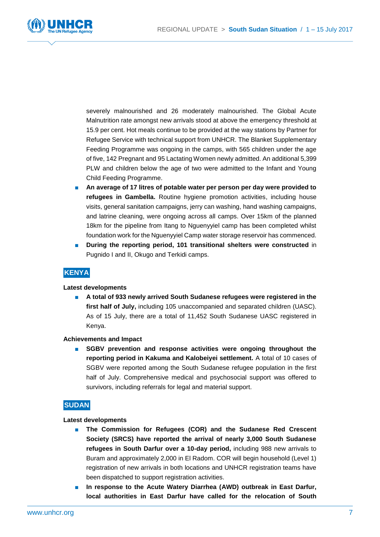

severely malnourished and 26 moderately malnourished. The Global Acute Malnutrition rate amongst new arrivals stood at above the emergency threshold at 15.9 per cent. Hot meals continue to be provided at the way stations by Partner for Refugee Service with technical support from UNHCR. The Blanket Supplementary Feeding Programme was ongoing in the camps, with 565 children under the age of five, 142 Pregnant and 95 Lactating Women newly admitted. An additional 5,399 PLW and children below the age of two were admitted to the Infant and Young Child Feeding Programme.

- **An average of 17 litres of potable water per person per day were provided to refugees in Gambella.** Routine hygiene promotion activities, including house visits, general sanitation campaigns, jerry can washing, hand washing campaigns, and latrine cleaning, were ongoing across all camps. Over 15km of the planned 18km for the pipeline from Itang to Nguenyyiel camp has been completed whilst foundation work for the Nguenyyiel Camp water storage reservoir has commenced.
- **During the reporting period, 101 transitional shelters were constructed** in Pugnido I and II, Okugo and Terkidi camps.

#### **KENYA**

#### **Latest developments**

■ **A total of 933 newly arrived South Sudanese refugees were registered in the first half of July,** including 105 unaccompanied and separated children (UASC). As of 15 July, there are a total of 11,452 South Sudanese UASC registered in Kenya.

#### **Achievements and Impact**

■ **SGBV** prevention and response activities were ongoing throughout the **reporting period in Kakuma and Kalobeiyei settlement.** A total of 10 cases of SGBV were reported among the South Sudanese refugee population in the first half of July. Comprehensive medical and psychosocial support was offered to survivors, including referrals for legal and material support.

#### **SUDAN**

#### **Latest developments**

- **The Commission for Refugees (COR) and the Sudanese Red Crescent Society (SRCS) have reported the arrival of nearly 3,000 South Sudanese refugees in South Darfur over a 10-day period,** including 988 new arrivals to Buram and approximately 2,000 in El Radom. COR will begin household (Level 1) registration of new arrivals in both locations and UNHCR registration teams have been dispatched to support registration activities.
- In response to the Acute Watery Diarrhea (AWD) outbreak in East Darfur, **local authorities in East Darfur have called for the relocation of South**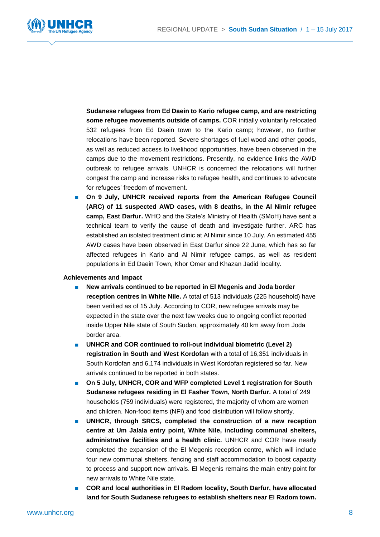

**Sudanese refugees from Ed Daein to Kario refugee camp, and are restricting some refugee movements outside of camps.** COR initially voluntarily relocated 532 refugees from Ed Daein town to the Kario camp; however, no further relocations have been reported. Severe shortages of fuel wood and other goods, as well as reduced access to livelihood opportunities, have been observed in the camps due to the movement restrictions. Presently, no evidence links the AWD outbreak to refugee arrivals. UNHCR is concerned the relocations will further congest the camp and increase risks to refugee health, and continues to advocate for refugees' freedom of movement.

■ On 9 July, UNHCR received reports from the American Refugee Council **(ARC) of 11 suspected AWD cases, with 8 deaths, in the Al Nimir refugee camp, East Darfur.** WHO and the State's Ministry of Health (SMoH) have sent a technical team to verify the cause of death and investigate further. ARC has established an isolated treatment clinic at Al Nimir since 10 July. An estimated 455 AWD cases have been observed in East Darfur since 22 June, which has so far affected refugees in Kario and Al Nimir refugee camps, as well as resident populations in Ed Daein Town, Khor Omer and Khazan Jadid locality.

- **New arrivals continued to be reported in El Megenis and Joda border reception centres in White Nile.** A total of 513 individuals (225 household) have been verified as of 15 July. According to COR, new refugee arrivals may be expected in the state over the next few weeks due to ongoing conflict reported inside Upper Nile state of South Sudan, approximately 40 km away from Joda border area.
- UNHCR and COR continued to roll-out individual biometric (Level 2) **registration in South and West Kordofan** with a total of 16,351 individuals in South Kordofan and 6,174 individuals in West Kordofan registered so far. New arrivals continued to be reported in both states.
- On 5 July, UNHCR, COR and WFP completed Level 1 registration for South **Sudanese refugees residing in El Fasher Town, North Darfur.** A total of 249 households (759 individuals) were registered, the majority of whom are women and children. Non-food items (NFI) and food distribution will follow shortly.
- **UNHCR, through SRCS, completed the construction of a new reception centre at Um Jalala entry point, White Nile, including communal shelters, administrative facilities and a health clinic.** UNHCR and COR have nearly completed the expansion of the El Megenis reception centre, which will include four new communal shelters, fencing and staff accommodation to boost capacity to process and support new arrivals. El Megenis remains the main entry point for new arrivals to White Nile state.
- **COR and local authorities in El Radom locality, South Darfur, have allocated land for South Sudanese refugees to establish shelters near El Radom town.**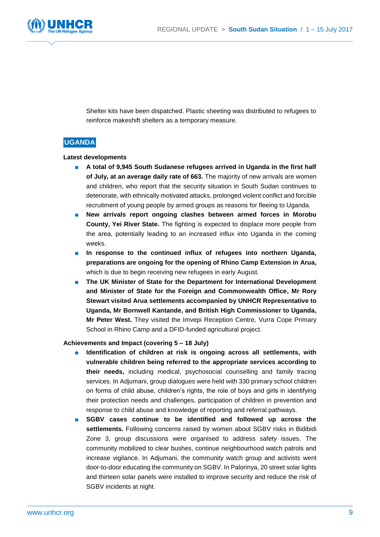

Shelter kits have been dispatched. Plastic sheeting was distributed to refugees to reinforce makeshift shelters as a temporary measure.

#### **UGANDA**

#### **Latest developments**

- A total of 9,945 South Sudanese refugees arrived in Uganda in the first half **of July, at an average daily rate of 663.** The majority of new arrivals are women and children, who report that the security situation in South Sudan continues to deteriorate, with ethnically motivated attacks, prolonged violent conflict and forcible recruitment of young people by armed groups as reasons for fleeing to Uganda.
- **New arrivals report ongoing clashes between armed forces in Morobu County, Yei River State.** The fighting is expected to displace more people from the area, potentially leading to an increased influx into Uganda in the coming weeks.
- In response to the continued influx of refugees into northern Uganda, **preparations are ongoing for the opening of Rhino Camp Extension in Arua,** which is due to begin receiving new refugees in early August.
- **The UK Minister of State for the Department for International Development and Minister of State for the Foreign and Commonwealth Office, Mr Rory Stewart visited Arua settlements accompanied by UNHCR Representative to Uganda, Mr Bornwell Kantande, and British High Commissioner to Uganda, Mr Peter West.** They visited the Imvepi Reception Centre, Vurra Cope Primary School in Rhino Camp and a DFID-funded agricultural project.

#### **Achievements and Impact (covering 5 – 18 July)**

- **Identification of children at risk is ongoing across all settlements, with vulnerable children being referred to the appropriate services according to their needs,** including medical, psychosocial counselling and family tracing services. In Adjumani, group dialogues were held with 330 primary school children on forms of child abuse, children's rights, the role of boys and girls in identifying their protection needs and challenges, participation of children in prevention and response to child abuse and knowledge of reporting and referral pathways.
- **SGBV** cases continue to be identified and followed up across the **settlements.** Following concerns raised by women about SGBV risks in Bidibidi Zone 3, group discussions were organised to address safety issues. The community mobilized to clear bushes, continue neighbourhood watch patrols and increase vigilance. In Adjumani, the community watch group and activists went door-to-door educating the community on SGBV. In Palorinya, 20 street solar lights and thirteen solar panels were installed to improve security and reduce the risk of SGBV incidents at night.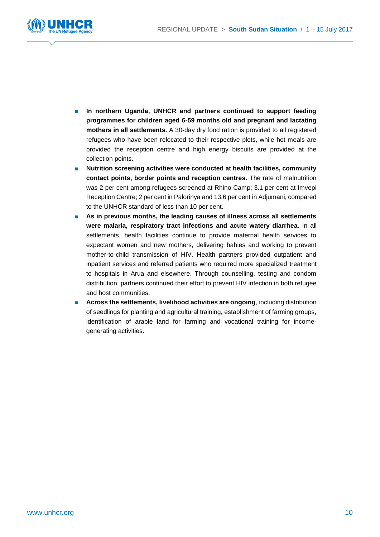

- In northern Uganda, UNHCR and partners continued to support feeding **programmes for children aged 6-59 months old and pregnant and lactating mothers in all settlements.** A 30-day dry food ration is provided to all registered refugees who have been relocated to their respective plots, while hot meals are provided the reception centre and high energy biscuits are provided at the collection points.
- **Nutrition screening activities were conducted at health facilities, community contact points, border points and reception centres.** The rate of malnutrition was 2 per cent among refugees screened at Rhino Camp; 3.1 per cent at Imvepi Reception Centre; 2 per cent in Palorinya and 13.6 per cent in Adjumani, compared to the UNHCR standard of less than 10 per cent.
- **As in previous months, the leading causes of illness across all settlements were malaria, respiratory tract infections and acute watery diarrhea.** In all settlements, health facilities continue to provide maternal health services to expectant women and new mothers, delivering babies and working to prevent mother-to-child transmission of HIV. Health partners provided outpatient and inpatient services and referred patients who required more specialized treatment to hospitals in Arua and elsewhere. Through counselling, testing and condom distribution, partners continued their effort to prevent HIV infection in both refugee and host communities.
- **Across the settlements, livelihood activities are ongoing**, including distribution of seedlings for planting and agricultural training, establishment of farming groups, identification of arable land for farming and vocational training for incomegenerating activities.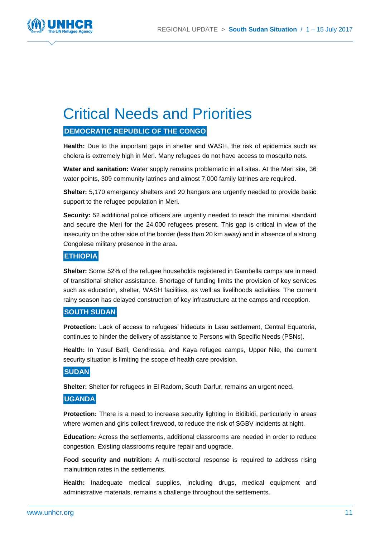

### Critical Needs and Priorities

#### **DEMOCRATIC REPUBLIC OF THE CONGO**

**Health:** Due to the important gaps in shelter and WASH, the risk of epidemics such as cholera is extremely high in Meri. Many refugees do not have access to mosquito nets.

**Water and sanitation:** Water supply remains problematic in all sites. At the Meri site, 36 water points, 309 community latrines and almost 7,000 family latrines are required.

**Shelter:** 5,170 emergency shelters and 20 hangars are urgently needed to provide basic support to the refugee population in Meri.

**Security:** 52 additional police officers are urgently needed to reach the minimal standard and secure the Meri for the 24,000 refugees present. This gap is critical in view of the insecurity on the other side of the border (less than 20 km away) and in absence of a strong Congolese military presence in the area.

#### **ETHIOPIA**

**Shelter:** Some 52% of the refugee households registered in Gambella camps are in need of transitional shelter assistance. Shortage of funding limits the provision of key services such as education, shelter, WASH facilities, as well as livelihoods activities. The current rainy season has delayed construction of key infrastructure at the camps and reception.

#### **SOUTH SUDAN**

**Protection:** Lack of access to refugees' hideouts in Lasu settlement, Central Equatoria, continues to hinder the delivery of assistance to Persons with Specific Needs (PSNs).

**Health:** In Yusuf Batil, Gendressa, and Kaya refugee camps, Upper Nile, the current security situation is limiting the scope of health care provision.

#### **SUDAN**

**Shelter:** Shelter for refugees in El Radom, South Darfur, remains an urgent need.

#### **UGANDA**

**Protection:** There is a need to increase security lighting in Bidibidi, particularly in areas where women and girls collect firewood, to reduce the risk of SGBV incidents at night.

**Education:** Across the settlements, additional classrooms are needed in order to reduce congestion. Existing classrooms require repair and upgrade.

**Food security and nutrition:** A multi-sectoral response is required to address rising malnutrition rates in the settlements.

**Health:** Inadequate medical supplies, including drugs, medical equipment and administrative materials, remains a challenge throughout the settlements.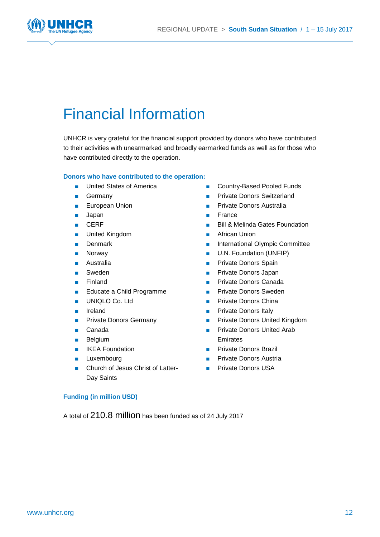

### Financial Information

UNHCR is very grateful for the financial support provided by donors who have contributed to their activities with unearmarked and broadly earmarked funds as well as for those who have contributed directly to the operation.

#### **Donors who have contributed to the operation:**

- United States of America
- Germany
- European Union
- Japan
- CERF
- United Kingdom
- Denmark
- Norway
- Australia
- Sweden
- Finland
- Educate a Child Programme
- UNIQLO Co. Ltd
- Ireland
- Private Donors Germany
- Canada
- Belgium
- **IKEA Foundation**
- Luxembourg
- Church of Jesus Christ of Latter-Day Saints
- **Funding (in million USD)**

A total of 210.8 million has been funded as of 24 July 2017

- Country-Based Pooled Funds
- Private Donors Switzerland
- Private Donors Australia
- France
- Bill & Melinda Gates Foundation
- African Union
- International Olympic Committee
- U.N. Foundation (UNFIP)
- Private Donors Spain
- Private Donors Japan
- Private Donors Canada
- Private Donors Sweden
- Private Donors China
- Private Donors Italy
- **Private Donors United Kingdom**
- Private Donors United Arab Emirates
- **Private Donors Brazil**
- Private Donors Austria
- Private Donors USA